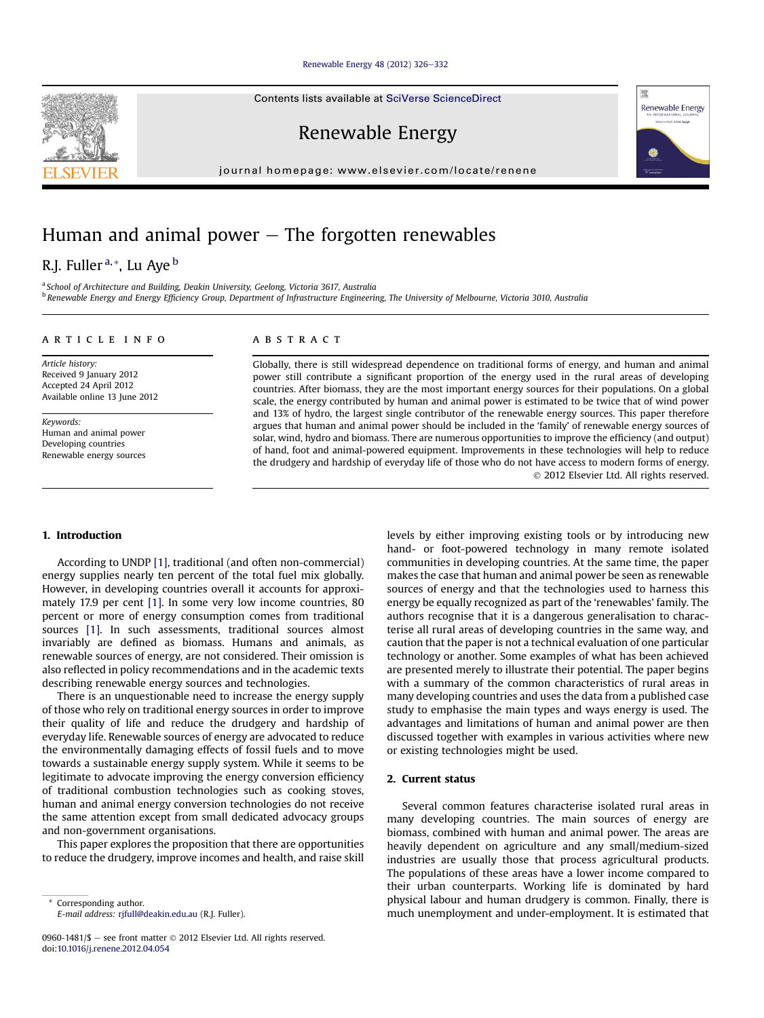#### [Renewable Energy 48 \(2012\) 326](http://dx.doi.org/10.1016/j.renene.2012.04.054)-[332](http://dx.doi.org/10.1016/j.renene.2012.04.054)

Contents lists available at SciVerse ScienceDirect

Renewable Energy

journal homepage: [www.elsevier.com/locate/renene](http://www.elsevier.com/locate/renene)

# Human and animal power  $-$  The forgotten renewables

## R.J. Fuller<sup>a,\*</sup>, Lu Aye<sup>b</sup>

<sup>a</sup> School of Architecture and Building, Deakin University, Geelong, Victoria 3617, Australia <sup>b</sup> Renewable Energy and Energy Efficiency Group, Department of Infrastructure Engineering, The University of Melbourne, Victoria 3010, Australia

## article info

Article history: Received 9 January 2012 Accepted 24 April 2012 Available online 13 June 2012

Keywords: Human and animal power Developing countries Renewable energy sources

## ABSTRACT

Globally, there is still widespread dependence on traditional forms of energy, and human and animal power still contribute a significant proportion of the energy used in the rural areas of developing countries. After biomass, they are the most important energy sources for their populations. On a global scale, the energy contributed by human and animal power is estimated to be twice that of wind power and 13% of hydro, the largest single contributor of the renewable energy sources. This paper therefore argues that human and animal power should be included in the 'family' of renewable energy sources of solar, wind, hydro and biomass. There are numerous opportunities to improve the efficiency (and output) of hand, foot and animal-powered equipment. Improvements in these technologies will help to reduce the drudgery and hardship of everyday life of those who do not have access to modern forms of energy. 2012 Elsevier Ltd. All rights reserved.

## 1. Introduction

According to UNDP [\[1\],](#page-5-0) traditional (and often non-commercial) energy supplies nearly ten percent of the total fuel mix globally. However, in developing countries overall it accounts for approximately 17.9 per cent [\[1\]](#page-5-0). In some very low income countries, 80 percent or more of energy consumption comes from traditional sources [\[1\].](#page-5-0) In such assessments, traditional sources almost invariably are defined as biomass. Humans and animals, as renewable sources of energy, are not considered. Their omission is also reflected in policy recommendations and in the academic texts describing renewable energy sources and technologies.

There is an unquestionable need to increase the energy supply of those who rely on traditional energy sources in order to improve their quality of life and reduce the drudgery and hardship of everyday life. Renewable sources of energy are advocated to reduce the environmentally damaging effects of fossil fuels and to move towards a sustainable energy supply system. While it seems to be legitimate to advocate improving the energy conversion efficiency of traditional combustion technologies such as cooking stoves, human and animal energy conversion technologies do not receive the same attention except from small dedicated advocacy groups and non-government organisations.

This paper explores the proposition that there are opportunities to reduce the drudgery, improve incomes and health, and raise skill

Corresponding author. E-mail address: [rjfull@deakin.edu.au](mailto:rjfull@deakin.edu.au) (R.J. Fuller). levels by either improving existing tools or by introducing new hand- or foot-powered technology in many remote isolated communities in developing countries. At the same time, the paper makes the case that human and animal power be seen as renewable sources of energy and that the technologies used to harness this energy be equally recognized as part of the 'renewables' family. The authors recognise that it is a dangerous generalisation to characterise all rural areas of developing countries in the same way, and caution that the paper is not a technical evaluation of one particular technology or another. Some examples of what has been achieved are presented merely to illustrate their potential. The paper begins with a summary of the common characteristics of rural areas in many developing countries and uses the data from a published case study to emphasise the main types and ways energy is used. The advantages and limitations of human and animal power are then discussed together with examples in various activities where new or existing technologies might be used.

#### 2. Current status

Several common features characterise isolated rural areas in many developing countries. The main sources of energy are biomass, combined with human and animal power. The areas are heavily dependent on agriculture and any small/medium-sized industries are usually those that process agricultural products. The populations of these areas have a lower income compared to their urban counterparts. Working life is dominated by hard physical labour and human drudgery is common. Finally, there is much unemployment and under-employment. It is estimated that





<sup>0960-1481/\$ -</sup> see front matter  $\odot$  2012 Elsevier Ltd. All rights reserved. doi:[10.1016/j.renene.2012.04.054](http://dx.doi.org/10.1016/j.renene.2012.04.054)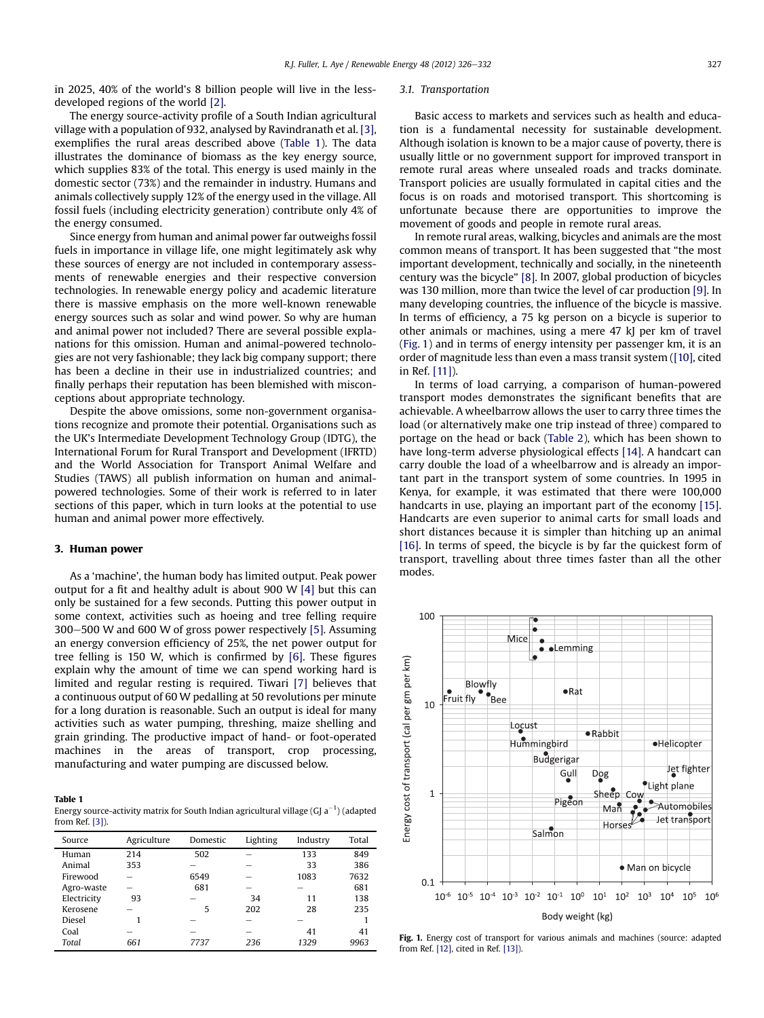in 2025, 40% of the world's 8 billion people will live in the lessdeveloped regions of the world [\[2\]](#page-5-0).

The energy source-activity profile of a South Indian agricultural village with a population of 932, analysed by Ravindranath et al. [\[3\],](#page-5-0) exemplifies the rural areas described above (Table 1). The data illustrates the dominance of biomass as the key energy source, which supplies 83% of the total. This energy is used mainly in the domestic sector (73%) and the remainder in industry. Humans and animals collectively supply 12% of the energy used in the village. All fossil fuels (including electricity generation) contribute only 4% of the energy consumed.

Since energy from human and animal power far outweighs fossil fuels in importance in village life, one might legitimately ask why these sources of energy are not included in contemporary assessments of renewable energies and their respective conversion technologies. In renewable energy policy and academic literature there is massive emphasis on the more well-known renewable energy sources such as solar and wind power. So why are human and animal power not included? There are several possible explanations for this omission. Human and animal-powered technologies are not very fashionable; they lack big company support; there has been a decline in their use in industrialized countries; and finally perhaps their reputation has been blemished with misconceptions about appropriate technology.

Despite the above omissions, some non-government organisations recognize and promote their potential. Organisations such as the UK's Intermediate Development Technology Group (IDTG), the International Forum for Rural Transport and Development (IFRTD) and the World Association for Transport Animal Welfare and Studies (TAWS) all publish information on human and animalpowered technologies. Some of their work is referred to in later sections of this paper, which in turn looks at the potential to use human and animal power more effectively.

## 3. Human power

As a 'machine', the human body has limited output. Peak power output for a fit and healthy adult is about 900 W [\[4\]](#page-5-0) but this can only be sustained for a few seconds. Putting this power output in some context, activities such as hoeing and tree felling require  $300-500$  W and 600 W of gross power respectively [\[5\]](#page-5-0). Assuming an energy conversion efficiency of 25%, the net power output for tree felling is 150 W, which is confirmed by [\[6\]](#page-5-0). These figures explain why the amount of time we can spend working hard is limited and regular resting is required. Tiwari [\[7\]](#page-5-0) believes that a continuous output of 60 W pedalling at 50 revolutions per minute for a long duration is reasonable. Such an output is ideal for many activities such as water pumping, threshing, maize shelling and grain grinding. The productive impact of hand- or foot-operated machines in the areas of transport, crop processing, manufacturing and water pumping are discussed below.

#### Table 1

Energy source-activity matrix for South Indian agricultural village (GJ a $^{-1}$ ) (adapted from Ref. [\[3\]\)](#page-5-0).

| Source      | Agriculture | Domestic | Lighting | Industry | Total |
|-------------|-------------|----------|----------|----------|-------|
| Human       | 214         | 502      |          | 133      | 849   |
| Animal      | 353         |          |          | 33       | 386   |
| Firewood    |             | 6549     |          | 1083     | 7632  |
| Agro-waste  |             | 681      |          |          | 681   |
| Electricity | 93          |          | 34       | 11       | 138   |
| Kerosene    |             | 5        | 202      | 28       | 235   |
| Diesel      |             |          |          |          |       |
| Coal        | -           | -        | -        | 41       | 41    |
| Total       | 661         | 7737     | 236      | 1329     | 9963  |

#### 3.1. Transportation

Basic access to markets and services such as health and education is a fundamental necessity for sustainable development. Although isolation is known to be a major cause of poverty, there is usually little or no government support for improved transport in remote rural areas where unsealed roads and tracks dominate. Transport policies are usually formulated in capital cities and the focus is on roads and motorised transport. This shortcoming is unfortunate because there are opportunities to improve the movement of goods and people in remote rural areas.

In remote rural areas, walking, bicycles and animals are the most common means of transport. It has been suggested that "the most important development, technically and socially, in the nineteenth century was the bicycle" [\[8\]](#page-5-0). In 2007, global production of bicycles was 130 million, more than twice the level of car production [\[9\]](#page-5-0). In many developing countries, the influence of the bicycle is massive. In terms of efficiency, a 75 kg person on a bicycle is superior to other animals or machines, using a mere 47 kJ per km of travel (Fig. 1) and in terms of energy intensity per passenger km, it is an order of magnitude less than even a mass transit system [\(\[10\]](#page-5-0), cited in Ref. [\[11\]](#page-5-0)).

In terms of load carrying, a comparison of human-powered transport modes demonstrates the significant benefits that are achievable. A wheelbarrow allows the user to carry three times the load (or alternatively make one trip instead of three) compared to portage on the head or back [\(Table 2](#page-2-0)), which has been shown to have long-term adverse physiological effects [\[14\]](#page-5-0). A handcart can carry double the load of a wheelbarrow and is already an important part in the transport system of some countries. In 1995 in Kenya, for example, it was estimated that there were 100,000 handcarts in use, playing an important part of the economy [\[15\].](#page-5-0) Handcarts are even superior to animal carts for small loads and short distances because it is simpler than hitching up an animal [\[16\].](#page-5-0) In terms of speed, the bicycle is by far the quickest form of transport, travelling about three times faster than all the other modes.



Fig. 1. Energy cost of transport for various animals and machines (source: adapted from Ref. [\[12\]](#page-5-0), cited in Ref. [\[13\]\)](#page-5-0).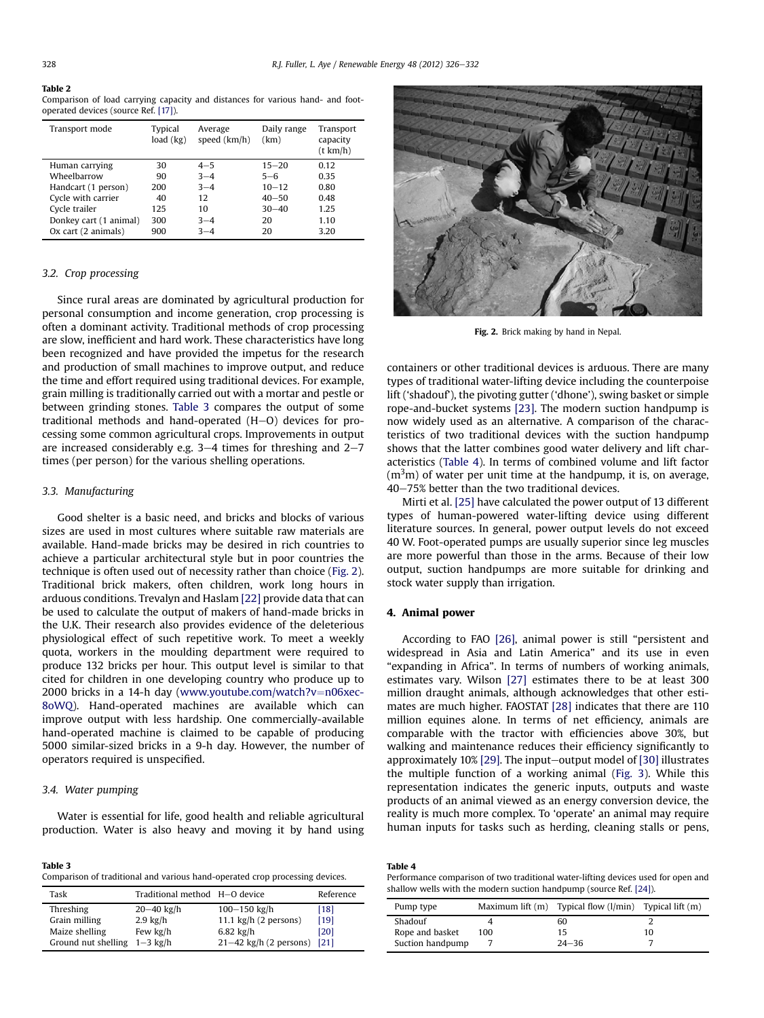#### Table 2

Comparison of load carrying capacity and distances for various hand- and footoperated devices (source Ref. [\[17\]\)](#page-5-0).

| Transport mode         | Typical<br>load (kg) | Average<br>speed (km/h) | Daily range<br>(km) | Transport<br>capacity<br>(t km/h) |
|------------------------|----------------------|-------------------------|---------------------|-----------------------------------|
| Human carrying         | 30                   | $4 - 5$                 | $15 - 20$           | 0.12                              |
| Wheelbarrow            | 90                   | $3 - 4$                 | $5 - 6$             | 0.35                              |
| Handcart (1 person)    | 200                  | $3 - 4$                 | $10 - 12$           | 0.80                              |
| Cycle with carrier     | 40                   | 12                      | $40 - 50$           | 0.48                              |
| Cycle trailer          | 125                  | 10                      | $30 - 40$           | 1.25                              |
| Donkey cart (1 animal) | 300                  | $3 - 4$                 | 20                  | 1.10                              |
| Ox cart (2 animals)    | 900                  | $3 - 4$                 | 20                  | 3.20                              |

## 3.2. Crop processing

Since rural areas are dominated by agricultural production for personal consumption and income generation, crop processing is often a dominant activity. Traditional methods of crop processing are slow, inefficient and hard work. These characteristics have long been recognized and have provided the impetus for the research and production of small machines to improve output, and reduce the time and effort required using traditional devices. For example, grain milling is traditionally carried out with a mortar and pestle or between grinding stones. Table 3 compares the output of some traditional methods and hand-operated  $(H-O)$  devices for processing some common agricultural crops. Improvements in output are increased considerably e.g.  $3-4$  times for threshing and  $2-7$ times (per person) for the various shelling operations.

### 3.3. Manufacturing

Good shelter is a basic need, and bricks and blocks of various sizes are used in most cultures where suitable raw materials are available. Hand-made bricks may be desired in rich countries to achieve a particular architectural style but in poor countries the technique is often used out of necessity rather than choice (Fig. 2). Traditional brick makers, often children, work long hours in arduous conditions. Trevalyn and Haslam [\[22\]](#page-5-0) provide data that can be used to calculate the output of makers of hand-made bricks in the U.K. Their research also provides evidence of the deleterious physiological effect of such repetitive work. To meet a weekly quota, workers in the moulding department were required to produce 132 bricks per hour. This output level is similar to that cited for children in one developing country who produce up to 2000 bricks in a 14-h day [\(www.youtube.com/watch?v](http://www.youtube.com/watch?v%3Dn06xec-8oWQ)=[n06xec-](http://www.youtube.com/watch?v%3Dn06xec-8oWQ)[8oWQ\)](http://www.youtube.com/watch?v%3Dn06xec-8oWQ). Hand-operated machines are available which can improve output with less hardship. One commercially-available hand-operated machine is claimed to be capable of producing 5000 similar-sized bricks in a 9-h day. However, the number of operators required is unspecified.

#### 3.4. Water pumping

Water is essential for life, good health and reliable agricultural production. Water is also heavy and moving it by hand using

Table 3 Comparison of traditional and various hand-operated crop processing devices.

| Task                           | Traditional method H-O device |                                | Reference |
|--------------------------------|-------------------------------|--------------------------------|-----------|
| Threshing                      | $20 - 40$ kg/h                | 100-150 kg/h                   | [18]      |
| Grain milling                  | $2.9 \text{ kg/h}$            | 11.1 $\text{kg/h}$ (2 persons) | $[19]$    |
| Maize shelling                 | Few kg/h                      | $6.82$ kg/h                    | [20]      |
| Ground nut shelling $1-3$ kg/h |                               | $21-42$ kg/h (2 persons)       | [21]      |



Fig. 2. Brick making by hand in Nepal.

containers or other traditional devices is arduous. There are many types of traditional water-lifting device including the counterpoise lift ('shadouf'), the pivoting gutter ('dhone'), swing basket or simple rope-and-bucket systems [\[23\].](#page-5-0) The modern suction handpump is now widely used as an alternative. A comparison of the characteristics of two traditional devices with the suction handpump shows that the latter combines good water delivery and lift characteristics (Table 4). In terms of combined volume and lift factor  $\rm (m^3m)$  of water per unit time at the handpump, it is, on average, 40-75% better than the two traditional devices.

Mirti et al. [\[25\]](#page-6-0) have calculated the power output of 13 different types of human-powered water-lifting device using different literature sources. In general, power output levels do not exceed 40 W. Foot-operated pumps are usually superior since leg muscles are more powerful than those in the arms. Because of their low output, suction handpumps are more suitable for drinking and stock water supply than irrigation.

### 4. Animal power

According to FAO [\[26\],](#page-6-0) animal power is still "persistent and widespread in Asia and Latin America" and its use in even "expanding in Africa". In terms of numbers of working animals, estimates vary. Wilson [\[27\]](#page-6-0) estimates there to be at least 300 million draught animals, although acknowledges that other estimates are much higher. FAOSTAT [\[28\]](#page-6-0) indicates that there are 110 million equines alone. In terms of net efficiency, animals are comparable with the tractor with efficiencies above 30%, but walking and maintenance reduces their efficiency significantly to approximately  $10\%$  [\[29\].](#page-6-0) The input-output model of [\[30\]](#page-6-0) illustrates the multiple function of a working animal [\(Fig. 3](#page-4-0)). While this representation indicates the generic inputs, outputs and waste products of an animal viewed as an energy conversion device, the reality is much more complex. To 'operate' an animal may require human inputs for tasks such as herding, cleaning stalls or pens,

Performance comparison of two traditional water-lifting devices used for open and shallow wells with the modern suction handpump (source Ref. [\[24\]](#page-5-0)).

| Pump type        |     | Maximum lift $(m)$ Typical flow $(l/min)$ Typical lift $(m)$ |    |
|------------------|-----|--------------------------------------------------------------|----|
| Shadouf          |     | 60                                                           |    |
| Rope and basket  | 100 | 15                                                           | 10 |
| Suction handpump |     | $24 - 36$                                                    |    |

<span id="page-2-0"></span>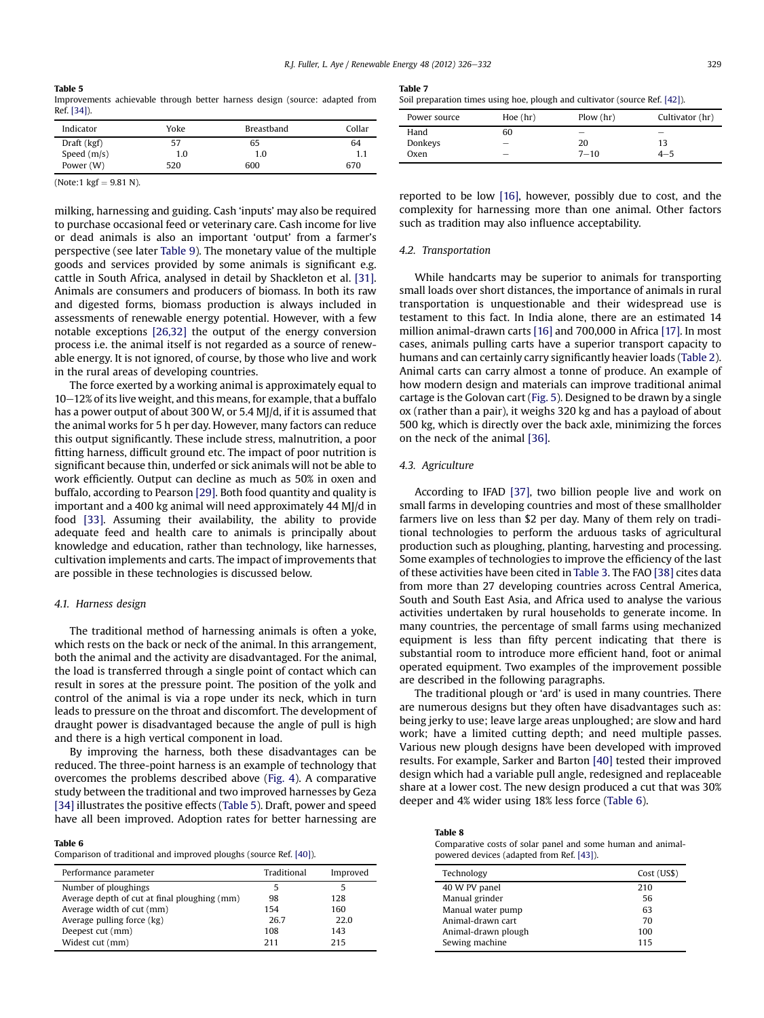### <span id="page-3-0"></span>Table 5

Improvements achievable through better harness design (source: adapted from Ref. [\[34\]\)](#page-6-0).

| Indicator     | Yoke | Breastband | Collar |
|---------------|------|------------|--------|
| Draft (kgf)   | 57   | 65         | 64     |
| Speed $(m/s)$ | 1.0  | 1.0        |        |
| Power (W)     | 520  | 600        | 670    |

(Note:1  $kgf = 9.81 N$ ).

milking, harnessing and guiding. Cash 'inputs' may also be required to purchase occasional feed or veterinary care. Cash income for live or dead animals is also an important 'output' from a farmer's perspective (see later [Table 9](#page-4-0)). The monetary value of the multiple goods and services provided by some animals is significant e.g. cattle in South Africa, analysed in detail by Shackleton et al. [\[31\].](#page-6-0) Animals are consumers and producers of biomass. In both its raw and digested forms, biomass production is always included in assessments of renewable energy potential. However, with a few notable exceptions [\[26,32\]](#page-6-0) the output of the energy conversion process i.e. the animal itself is not regarded as a source of renewable energy. It is not ignored, of course, by those who live and work in the rural areas of developing countries.

The force exerted by a working animal is approximately equal to  $10-12\%$  of its live weight, and this means, for example, that a buffalo has a power output of about 300 W, or 5.4 MJ/d, if it is assumed that the animal works for 5 h per day. However, many factors can reduce this output significantly. These include stress, malnutrition, a poor fitting harness, difficult ground etc. The impact of poor nutrition is significant because thin, underfed or sick animals will not be able to work efficiently. Output can decline as much as 50% in oxen and buffalo, according to Pearson [\[29\].](#page-6-0) Both food quantity and quality is important and a 400 kg animal will need approximately 44 MJ/d in food [\[33\].](#page-6-0) Assuming their availability, the ability to provide adequate feed and health care to animals is principally about knowledge and education, rather than technology, like harnesses, cultivation implements and carts. The impact of improvements that are possible in these technologies is discussed below.

#### 4.1. Harness design

The traditional method of harnessing animals is often a yoke, which rests on the back or neck of the animal. In this arrangement, both the animal and the activity are disadvantaged. For the animal, the load is transferred through a single point of contact which can result in sores at the pressure point. The position of the yolk and control of the animal is via a rope under its neck, which in turn leads to pressure on the throat and discomfort. The development of draught power is disadvantaged because the angle of pull is high and there is a high vertical component in load.

By improving the harness, both these disadvantages can be reduced. The three-point harness is an example of technology that overcomes the problems described above [\(Fig. 4\)](#page-4-0). A comparative study between the traditional and two improved harnesses by Geza [\[34\]](#page-6-0) illustrates the positive effects (Table 5). Draft, power and speed have all been improved. Adoption rates for better harnessing are

#### Table 6

Comparison of traditional and improved ploughs (source Ref. [\[40\]](#page-6-0)).

| Performance parameter                        | Traditional | Improved |
|----------------------------------------------|-------------|----------|
| Number of ploughings                         | 5           |          |
| Average depth of cut at final ploughing (mm) | 98          | 128      |
| Average width of cut (mm)                    | 154         | 160      |
| Average pulling force (kg)                   | 26.7        | 22.0     |
| Deepest cut (mm)                             | 108         | 143      |
| Widest cut (mm)                              | 211         | 215      |

Table 7

|  |  |  |  | Soil preparation times using hoe, plough and cultivator (source Ref. [42]). |  |
|--|--|--|--|-----------------------------------------------------------------------------|--|
|--|--|--|--|-----------------------------------------------------------------------------|--|

| Power source | Hoe(hr)                  | Flow(hr) | Cultivator (hr)          |
|--------------|--------------------------|----------|--------------------------|
| Hand         | 60                       | -        | $\overline{\phantom{a}}$ |
| Donkeys      | $\overline{\phantom{a}}$ | 20       | 13                       |
| Oxen         | $\overline{\phantom{a}}$ | $7 - 10$ | $4 - 5$                  |

reported to be low [\[16\]](#page-5-0), however, possibly due to cost, and the complexity for harnessing more than one animal. Other factors such as tradition may also influence acceptability.

#### 4.2. Transportation

While handcarts may be superior to animals for transporting small loads over short distances, the importance of animals in rural transportation is unquestionable and their widespread use is testament to this fact. In India alone, there are an estimated 14 million animal-drawn carts [\[16\]](#page-5-0) and 700,000 in Africa [\[17\]](#page-5-0). In most cases, animals pulling carts have a superior transport capacity to humans and can certainly carry significantly heavier loads [\(Table](#page-2-0) 2). Animal carts can carry almost a tonne of produce. An example of how modern design and materials can improve traditional animal cartage is the Golovan cart ([Fig. 5\)](#page-4-0). Designed to be drawn by a single ox (rather than a pair), it weighs 320 kg and has a payload of about 500 kg, which is directly over the back axle, minimizing the forces on the neck of the animal [\[36\]](#page-6-0).

#### 4.3. Agriculture

According to IFAD [\[37\]](#page-6-0), two billion people live and work on small farms in developing countries and most of these smallholder farmers live on less than \$2 per day. Many of them rely on traditional technologies to perform the arduous tasks of agricultural production such as ploughing, planting, harvesting and processing. Some examples of technologies to improve the efficiency of the last of these activities have been cited in [Table 3.](#page-2-0) The FAO [\[38\]](#page-6-0) cites data from more than 27 developing countries across Central America, South and South East Asia, and Africa used to analyse the various activities undertaken by rural households to generate income. In many countries, the percentage of small farms using mechanized equipment is less than fifty percent indicating that there is substantial room to introduce more efficient hand, foot or animal operated equipment. Two examples of the improvement possible are described in the following paragraphs.

The traditional plough or 'ard' is used in many countries. There are numerous designs but they often have disadvantages such as: being jerky to use; leave large areas unploughed; are slow and hard work; have a limited cutting depth; and need multiple passes. Various new plough designs have been developed with improved results. For example, Sarker and Barton [\[40\]](#page-6-0) tested their improved design which had a variable pull angle, redesigned and replaceable share at a lower cost. The new design produced a cut that was 30% deeper and 4% wider using 18% less force (Table 6).

| Table 8                                                     |
|-------------------------------------------------------------|
| Comparative costs of solar panel and some human and animal- |
| powered devices (adapted from Ref. [43]).                   |

| Technology          | Cost (US\$) |
|---------------------|-------------|
| 40 W PV panel       | 210         |
| Manual grinder      | 56          |
| Manual water pump   | 63          |
| Animal-drawn cart   | 70          |
| Animal-drawn plough | 100         |
| Sewing machine      | 115         |
|                     |             |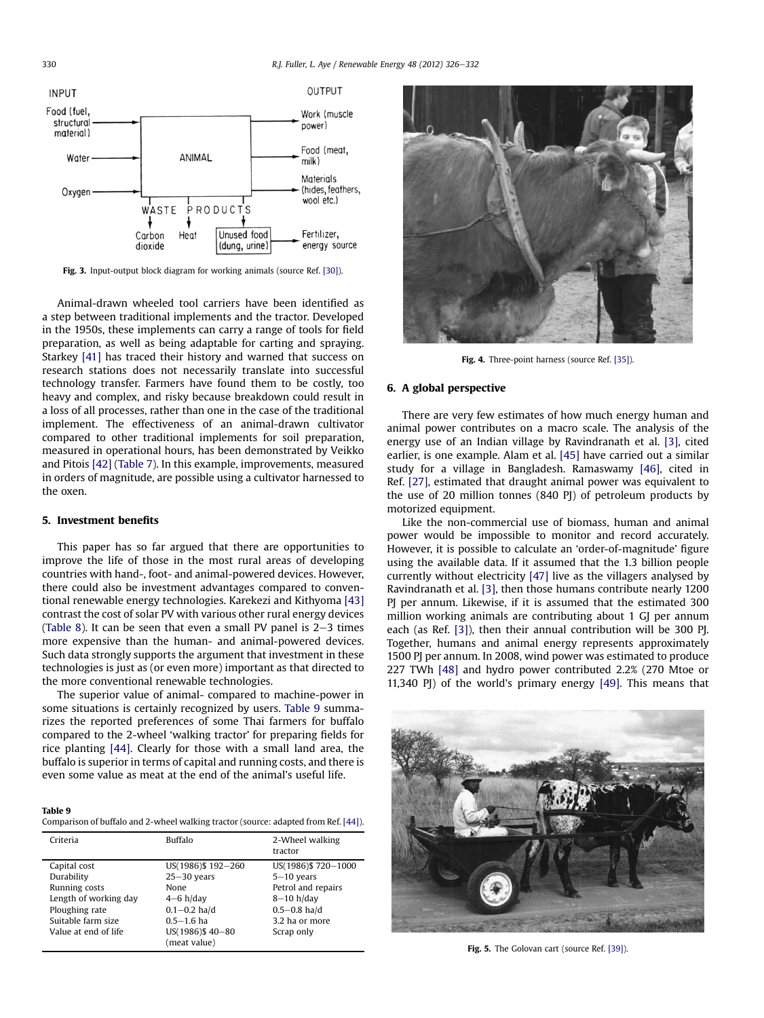<span id="page-4-0"></span>

Fig. 3. Input-output block diagram for working animals (source Ref. [\[30\]\)](#page-6-0).

Animal-drawn wheeled tool carriers have been identified as a step between traditional implements and the tractor. Developed in the 1950s, these implements can carry a range of tools for field preparation, as well as being adaptable for carting and spraying. Starkey [\[41\]](#page-6-0) has traced their history and warned that success on research stations does not necessarily translate into successful technology transfer. Farmers have found them to be costly, too heavy and complex, and risky because breakdown could result in a loss of all processes, rather than one in the case of the traditional implement. The effectiveness of an animal-drawn cultivator compared to other traditional implements for soil preparation, measured in operational hours, has been demonstrated by Veikko and Pitois [\[42\]](#page-6-0) [\(Table 7\)](#page-3-0). In this example, improvements, measured in orders of magnitude, are possible using a cultivator harnessed to the oxen.

## 5. Investment benefits

This paper has so far argued that there are opportunities to improve the life of those in the most rural areas of developing countries with hand-, foot- and animal-powered devices. However, there could also be investment advantages compared to conventional renewable energy technologies. Karekezi and Kithyoma [\[43\]](#page-6-0) contrast the cost of solar PV with various other rural energy devices ([Table 8](#page-3-0)). It can be seen that even a small PV panel is  $2-3$  times more expensive than the human- and animal-powered devices. Such data strongly supports the argument that investment in these technologies is just as (or even more) important as that directed to the more conventional renewable technologies.

The superior value of animal- compared to machine-power in some situations is certainly recognized by users. Table 9 summarizes the reported preferences of some Thai farmers for buffalo compared to the 2-wheel 'walking tractor' for preparing fields for rice planting [\[44\]](#page-6-0). Clearly for those with a small land area, the buffalo is superior in terms of capital and running costs, and there is even some value as meat at the end of the animal's useful life.

#### Table 9

Comparison of buffalo and 2-wheel walking tractor (source: adapted from Ref. [\[44\]\)](#page-6-0).

| Criteria              | <b>Buffalo</b>                  | 2-Wheel walking<br>tractor |
|-----------------------|---------------------------------|----------------------------|
| Capital cost          | US(1986)\$192-260               | US(1986)\$720-1000         |
| Durability            | $25 - 30$ years                 | $5-10$ years               |
| Running costs         | None                            | Petrol and repairs         |
| Length of working day | $4-6$ h/day                     | $8-10$ h/day               |
| Ploughing rate        | $0.1 - 0.2$ ha/d                | $0.5 - 0.8$ ha/d           |
| Suitable farm size    | $0.5 - 1.6$ ha                  | 3.2 ha or more             |
| Value at end of life  | US(1986)\$40-80<br>(meat value) | Scrap only                 |



Fig. 4. Three-point harness (source Ref. [\[35\]\)](#page-6-0).

#### 6. A global perspective

There are very few estimates of how much energy human and animal power contributes on a macro scale. The analysis of the energy use of an Indian village by Ravindranath et al. [\[3\],](#page-5-0) cited earlier, is one example. Alam et al. [\[45\]](#page-6-0) have carried out a similar study for a village in Bangladesh. Ramaswamy [\[46\],](#page-6-0) cited in Ref. [\[27\],](#page-6-0) estimated that draught animal power was equivalent to the use of 20 million tonnes (840 PJ) of petroleum products by motorized equipment.

Like the non-commercial use of biomass, human and animal power would be impossible to monitor and record accurately. However, it is possible to calculate an 'order-of-magnitude' figure using the available data. If it assumed that the 1.3 billion people currently without electricity [\[47\]](#page-6-0) live as the villagers analysed by Ravindranath et al. [\[3\]](#page-5-0), then those humans contribute nearly 1200 PJ per annum. Likewise, if it is assumed that the estimated 300 million working animals are contributing about 1 GJ per annum each (as Ref. [\[3\]](#page-5-0)), then their annual contribution will be 300 PJ. Together, humans and animal energy represents approximately 1500 PJ per annum. In 2008, wind power was estimated to produce 227 TWh [\[48\]](#page-6-0) and hydro power contributed 2.2% (270 Mtoe or 11,340 PJ) of the world's primary energy [\[49\]](#page-6-0). This means that



Fig. 5. The Golovan cart (source Ref. [\[39\]](#page-6-0)).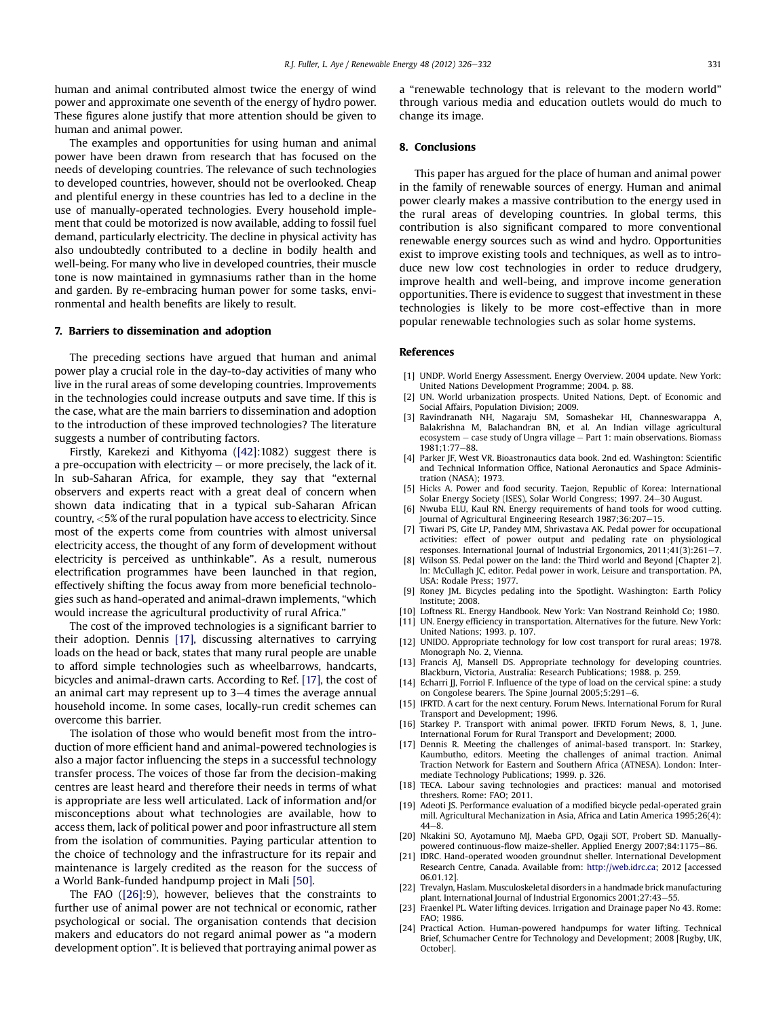<span id="page-5-0"></span>human and animal contributed almost twice the energy of wind power and approximate one seventh of the energy of hydro power. These figures alone justify that more attention should be given to human and animal power.

The examples and opportunities for using human and animal power have been drawn from research that has focused on the needs of developing countries. The relevance of such technologies to developed countries, however, should not be overlooked. Cheap and plentiful energy in these countries has led to a decline in the use of manually-operated technologies. Every household implement that could be motorized is now available, adding to fossil fuel demand, particularly electricity. The decline in physical activity has also undoubtedly contributed to a decline in bodily health and well-being. For many who live in developed countries, their muscle tone is now maintained in gymnasiums rather than in the home and garden. By re-embracing human power for some tasks, environmental and health benefits are likely to result.

## 7. Barriers to dissemination and adoption

The preceding sections have argued that human and animal power play a crucial role in the day-to-day activities of many who live in the rural areas of some developing countries. Improvements in the technologies could increase outputs and save time. If this is the case, what are the main barriers to dissemination and adoption to the introduction of these improved technologies? The literature suggests a number of contributing factors.

Firstly, Karekezi and Kithyoma ([\[42\]](#page-6-0):1082) suggest there is a pre-occupation with electricity  $-$  or more precisely, the lack of it. In sub-Saharan Africa, for example, they say that "external observers and experts react with a great deal of concern when shown data indicating that in a typical sub-Saharan African country, <5% of the rural population have access to electricity. Since most of the experts come from countries with almost universal electricity access, the thought of any form of development without electricity is perceived as unthinkable". As a result, numerous electrification programmes have been launched in that region, effectively shifting the focus away from more beneficial technologies such as hand-operated and animal-drawn implements, "which would increase the agricultural productivity of rural Africa."

The cost of the improved technologies is a significant barrier to their adoption. Dennis [17], discussing alternatives to carrying loads on the head or back, states that many rural people are unable to afford simple technologies such as wheelbarrows, handcarts, bicycles and animal-drawn carts. According to Ref. [17], the cost of an animal cart may represent up to  $3-4$  times the average annual household income. In some cases, locally-run credit schemes can overcome this barrier.

The isolation of those who would benefit most from the introduction of more efficient hand and animal-powered technologies is also a major factor influencing the steps in a successful technology transfer process. The voices of those far from the decision-making centres are least heard and therefore their needs in terms of what is appropriate are less well articulated. Lack of information and/or misconceptions about what technologies are available, how to access them, lack of political power and poor infrastructure all stem from the isolation of communities. Paying particular attention to the choice of technology and the infrastructure for its repair and maintenance is largely credited as the reason for the success of a World Bank-funded handpump project in Mali [\[50\].](#page-6-0)

The FAO ([\[26\]](#page-6-0):9), however, believes that the constraints to further use of animal power are not technical or economic, rather psychological or social. The organisation contends that decision makers and educators do not regard animal power as "a modern development option". It is believed that portraying animal power as a "renewable technology that is relevant to the modern world" through various media and education outlets would do much to change its image.

## 8. Conclusions

This paper has argued for the place of human and animal power in the family of renewable sources of energy. Human and animal power clearly makes a massive contribution to the energy used in the rural areas of developing countries. In global terms, this contribution is also significant compared to more conventional renewable energy sources such as wind and hydro. Opportunities exist to improve existing tools and techniques, as well as to introduce new low cost technologies in order to reduce drudgery, improve health and well-being, and improve income generation opportunities. There is evidence to suggest that investment in these technologies is likely to be more cost-effective than in more popular renewable technologies such as solar home systems.

#### References

- [1] UNDP. World Energy Assessment. Energy Overview. 2004 update. New York: United Nations Development Programme; 2004. p. 88.
- [2] UN. World urbanization prospects. United Nations, Dept. of Economic and Social Affairs, Population Division; 2009.
- [3] Ravindranath NH, Nagaraju SM, Somashekar HI, Channeswarappa A, Balakrishna M, Balachandran BN, et al. An Indian village agricultural  $ecosystem - case study of Ungra village - Part 1: main observations. Biomass$ 1981:1:77-88.
- [4] Parker JF, West VR. Bioastronautics data book. 2nd ed. Washington: Scientific and Technical Information Office, National Aeronautics and Space Administration (NASA); 1973.
- [5] Hicks A. Power and food security. Taejon, Republic of Korea: International Solar Energy Society (ISES), Solar World Congress; 1997. 24-30 August.
- [6] Nwuba ELU, Kaul RN. Energy requirements of hand tools for wood cutting. Journal of Agricultural Engineering Research 1987:36:207-15.
- [7] Tiwari PS, Gite LP, Pandey MM, Shrivastava AK. Pedal power for occupational activities: effect of power output and pedaling rate on physiological responses. International Journal of Industrial Ergonomics,  $2011;41(3):261-7$ .
- [8] Wilson SS. Pedal power on the land: the Third world and Beyond [Chapter 2]. In: McCullagh JC, editor. Pedal power in work, Leisure and transportation. PA, USA: Rodale Press; 1977.
- [9] Roney JM. Bicycles pedaling into the Spotlight. Washington: Earth Policy Institute; 2008.
- [10] Loftness RL. Energy Handbook. New York: Van Nostrand Reinhold Co; 1980. [11] UN. Energy efficiency in transportation. Alternatives for the future. New York:
- United Nations; 1993. p. 107.
- [12] UNIDO. Appropriate technology for low cost transport for rural areas; 1978. Monograph No. 2, Vienna.
- [13] Francis AJ, Mansell DS. Appropriate technology for developing countries. Blackburn, Victoria, Australia: Research Publications; 1988. p. 259.
- [14] Echarri JJ, Forriol F. Influence of the type of load on the cervical spine: a study on Congolese bearers. The Spine Journal 2005;5:291-6.
- [15] IFRTD. A cart for the next century. Forum News. International Forum for Rural Transport and Development; 1996.
- [16] Starkey P. Transport with animal power. IFRTD Forum News, 8, 1, June. International Forum for Rural Transport and Development; 2000.
- [17] Dennis R. Meeting the challenges of animal-based transport. In: Starkey, Kaumbutho, editors. Meeting the challenges of animal traction. Animal Traction Network for Eastern and Southern Africa (ATNESA). London: Intermediate Technology Publications; 1999. p. 326.
- [18] TECA. Labour saving technologies and practices: manual and motorised threshers. Rome: FAO; 2011.
- [19] Adeoti JS. Performance evaluation of a modified bicycle pedal-operated grain mill. Agricultural Mechanization in Asia, Africa and Latin America 1995;26(4):  $44 - 8$
- [20] Nkakini SO, Ayotamuno MJ, Maeba GPD, Ogaji SOT, Probert SD. Manuallypowered continuous-flow maize-sheller. Applied Energy 2007;84:1175-86.
- [21] IDRC. Hand-operated wooden groundnut sheller. International Development Research Centre, Canada. Available from: <http://web.idrc.ca>; 2012 [accessed 06.01.12].
- [22] Trevalyn, Haslam. Musculoskeletal disorders in a handmade brick manufacturing plant. International Journal of Industrial Ergonomics 2001;27:43-55.
- [23] Fraenkel PL. Water lifting devices. Irrigation and Drainage paper No 43. Rome: FAO; 1986.
- [24] Practical Action. Human-powered handpumps for water lifting. Technical Brief, Schumacher Centre for Technology and Development; 2008 [Rugby, UK, October].